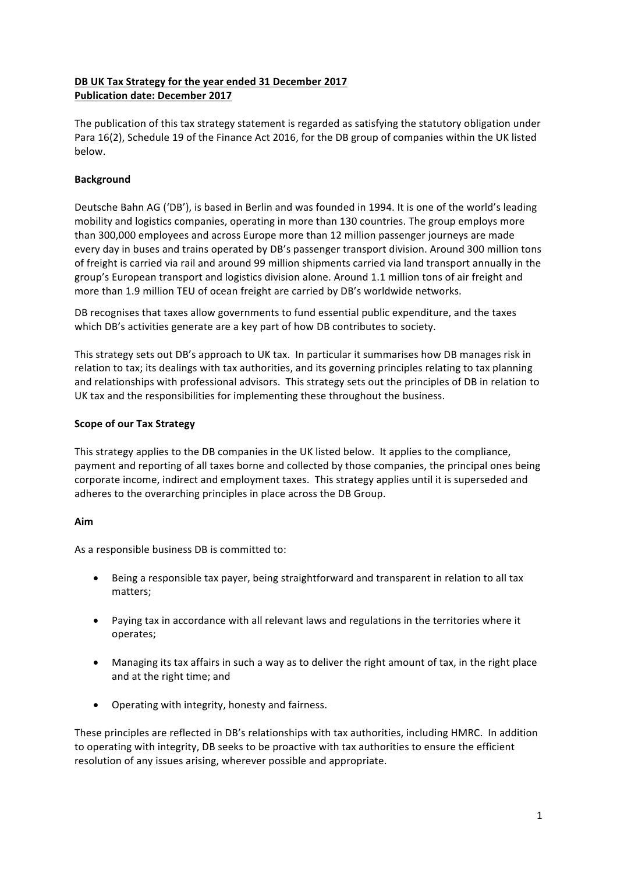# DB UK Tax Strategy for the year ended 31 December 2017 **Publication date: December 2017**

The publication of this tax strategy statement is regarded as satisfying the statutory obligation under Para 16(2), Schedule 19 of the Finance Act 2016, for the DB group of companies within the UK listed below.

# **Background**

Deutsche Bahn AG ('DB'), is based in Berlin and was founded in 1994. It is one of the world's leading mobility and logistics companies, operating in more than 130 countries. The group employs more than 300,000 employees and across Europe more than 12 million passenger journeys are made every day in buses and trains operated by DB's passenger transport division. Around 300 million tons of freight is carried via rail and around 99 million shipments carried via land transport annually in the group's European transport and logistics division alone. Around 1.1 million tons of air freight and more than 1.9 million TEU of ocean freight are carried by DB's worldwide networks.

DB recognises that taxes allow governments to fund essential public expenditure, and the taxes which DB's activities generate are a key part of how DB contributes to society.

This strategy sets out DB's approach to UK tax. In particular it summarises how DB manages risk in relation to tax; its dealings with tax authorities, and its governing principles relating to tax planning and relationships with professional advisors. This strategy sets out the principles of DB in relation to UK tax and the responsibilities for implementing these throughout the business.

### **Scope of our Tax Strategy**

This strategy applies to the DB companies in the UK listed below. It applies to the compliance, payment and reporting of all taxes borne and collected by those companies, the principal ones being corporate income, indirect and employment taxes. This strategy applies until it is superseded and adheres to the overarching principles in place across the DB Group.

## **Aim**

As a responsible business DB is committed to:

- Being a responsible tax payer, being straightforward and transparent in relation to all tax matters;
- Paying tax in accordance with all relevant laws and regulations in the territories where it operates;
- Managing its tax affairs in such a way as to deliver the right amount of tax, in the right place and at the right time; and
- Operating with integrity, honesty and fairness.

These principles are reflected in DB's relationships with tax authorities, including HMRC. In addition to operating with integrity, DB seeks to be proactive with tax authorities to ensure the efficient resolution of any issues arising, wherever possible and appropriate.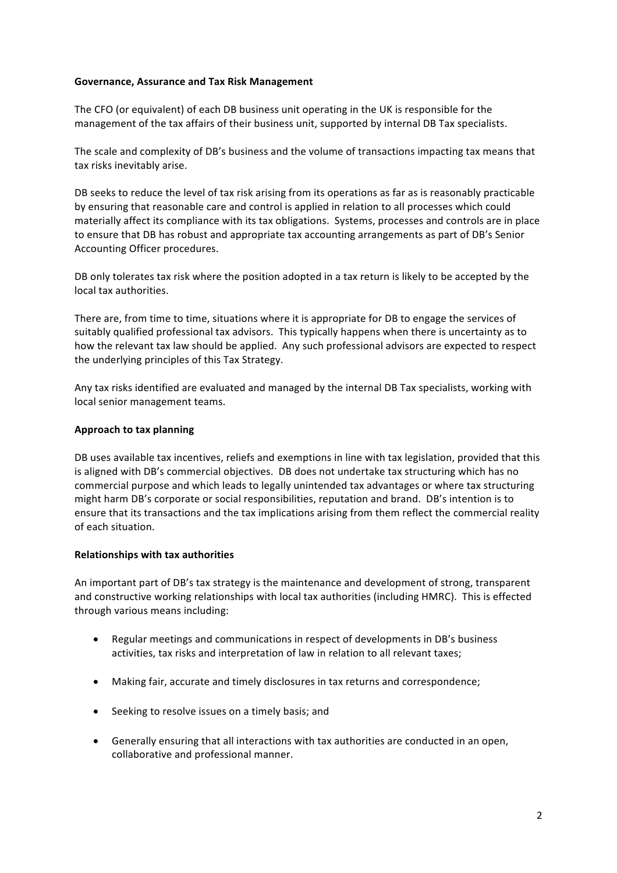### **Governance, Assurance and Tax Risk Management**

The CFO (or equivalent) of each DB business unit operating in the UK is responsible for the management of the tax affairs of their business unit, supported by internal DB Tax specialists.

The scale and complexity of DB's business and the volume of transactions impacting tax means that tax risks inevitably arise.

DB seeks to reduce the level of tax risk arising from its operations as far as is reasonably practicable by ensuring that reasonable care and control is applied in relation to all processes which could materially affect its compliance with its tax obligations. Systems, processes and controls are in place to ensure that DB has robust and appropriate tax accounting arrangements as part of DB's Senior Accounting Officer procedures.

DB only tolerates tax risk where the position adopted in a tax return is likely to be accepted by the local tax authorities.

There are, from time to time, situations where it is appropriate for DB to engage the services of suitably qualified professional tax advisors. This typically happens when there is uncertainty as to how the relevant tax law should be applied. Any such professional advisors are expected to respect the underlying principles of this Tax Strategy.

Any tax risks identified are evaluated and managed by the internal DB Tax specialists, working with local senior management teams.

#### **Approach to tax planning**

DB uses available tax incentives, reliefs and exemptions in line with tax legislation, provided that this is aligned with DB's commercial objectives. DB does not undertake tax structuring which has no commercial purpose and which leads to legally unintended tax advantages or where tax structuring might harm DB's corporate or social responsibilities, reputation and brand. DB's intention is to ensure that its transactions and the tax implications arising from them reflect the commercial reality of each situation.

### **Relationships with tax authorities**

An important part of DB's tax strategy is the maintenance and development of strong, transparent and constructive working relationships with local tax authorities (including HMRC). This is effected through various means including:

- Regular meetings and communications in respect of developments in DB's business activities, tax risks and interpretation of law in relation to all relevant taxes;
- Making fair, accurate and timely disclosures in tax returns and correspondence;
- Seeking to resolve issues on a timely basis; and
- Generally ensuring that all interactions with tax authorities are conducted in an open, collaborative and professional manner.